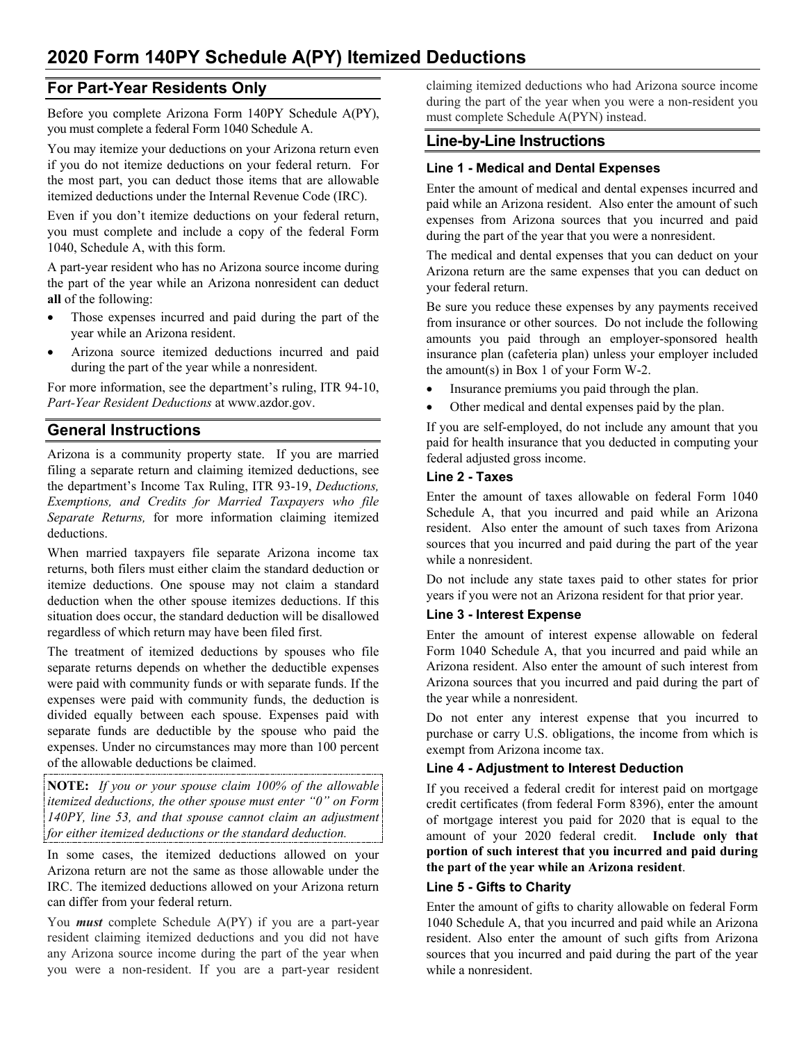# **For Part-Year Residents Only**

Before you complete Arizona Form 140PY Schedule A(PY), you must complete a federal Form 1040 Schedule A.

You may itemize your deductions on your Arizona return even if you do not itemize deductions on your federal return. For the most part, you can deduct those items that are allowable itemized deductions under the Internal Revenue Code (IRC).

Even if you don't itemize deductions on your federal return, you must complete and include a copy of the federal Form 1040, Schedule A, with this form.

A part-year resident who has no Arizona source income during the part of the year while an Arizona nonresident can deduct **all** of the following:

- Those expenses incurred and paid during the part of the year while an Arizona resident.
- Arizona source itemized deductions incurred and paid during the part of the year while a nonresident.

For more information, see the department's ruling, ITR 94-10, *Part-Year Resident Deductions* at www.azdor.gov.

# **General Instructions**

Arizona is a community property state. If you are married filing a separate return and claiming itemized deductions, see the department's Income Tax Ruling, ITR 93-19, *Deductions, Exemptions, and Credits for Married Taxpayers who file Separate Returns,* for more information claiming itemized deductions.

When married taxpayers file separate Arizona income tax returns, both filers must either claim the standard deduction or itemize deductions. One spouse may not claim a standard deduction when the other spouse itemizes deductions. If this situation does occur, the standard deduction will be disallowed regardless of which return may have been filed first.

The treatment of itemized deductions by spouses who file separate returns depends on whether the deductible expenses were paid with community funds or with separate funds. If the expenses were paid with community funds, the deduction is divided equally between each spouse. Expenses paid with separate funds are deductible by the spouse who paid the expenses. Under no circumstances may more than 100 percent of the allowable deductions be claimed.

**NOTE:** *If you or your spouse claim 100% of the allowable itemized deductions, the other spouse must enter "0" on Form 140PY, line 53, and that spouse cannot claim an adjustment for either itemized deductions or the standard deduction.*

In some cases, the itemized deductions allowed on your Arizona return are not the same as those allowable under the IRC. The itemized deductions allowed on your Arizona return can differ from your federal return.

You *must* complete Schedule A(PY) if you are a part-year resident claiming itemized deductions and you did not have any Arizona source income during the part of the year when you were a non-resident. If you are a part-year resident claiming itemized deductions who had Arizona source income during the part of the year when you were a non-resident you must complete Schedule A(PYN) instead.

# **Line-by-Line Instructions**

## **Line 1 - Medical and Dental Expenses**

Enter the amount of medical and dental expenses incurred and paid while an Arizona resident. Also enter the amount of such expenses from Arizona sources that you incurred and paid during the part of the year that you were a nonresident.

The medical and dental expenses that you can deduct on your Arizona return are the same expenses that you can deduct on your federal return.

Be sure you reduce these expenses by any payments received from insurance or other sources. Do not include the following amounts you paid through an employer-sponsored health insurance plan (cafeteria plan) unless your employer included the amount(s) in Box 1 of your Form W-2.

- Insurance premiums you paid through the plan.
- Other medical and dental expenses paid by the plan.

If you are self-employed, do not include any amount that you paid for health insurance that you deducted in computing your federal adjusted gross income.

### **Line 2 - Taxes**

Enter the amount of taxes allowable on federal Form 1040 Schedule A, that you incurred and paid while an Arizona resident. Also enter the amount of such taxes from Arizona sources that you incurred and paid during the part of the year while a nonresident.

Do not include any state taxes paid to other states for prior years if you were not an Arizona resident for that prior year.

## **Line 3 - Interest Expense**

Enter the amount of interest expense allowable on federal Form 1040 Schedule A, that you incurred and paid while an Arizona resident. Also enter the amount of such interest from Arizona sources that you incurred and paid during the part of the year while a nonresident.

Do not enter any interest expense that you incurred to purchase or carry U.S. obligations, the income from which is exempt from Arizona income tax.

## **Line 4 - Adjustment to Interest Deduction**

If you received a federal credit for interest paid on mortgage credit certificates (from federal Form 8396), enter the amount of mortgage interest you paid for 2020 that is equal to the amount of your 2020 federal credit. **Include only that portion of such interest that you incurred and paid during the part of the year while an Arizona resident**.

## **Line 5 - Gifts to Charity**

Enter the amount of gifts to charity allowable on federal Form 1040 Schedule A, that you incurred and paid while an Arizona resident. Also enter the amount of such gifts from Arizona sources that you incurred and paid during the part of the year while a nonresident.